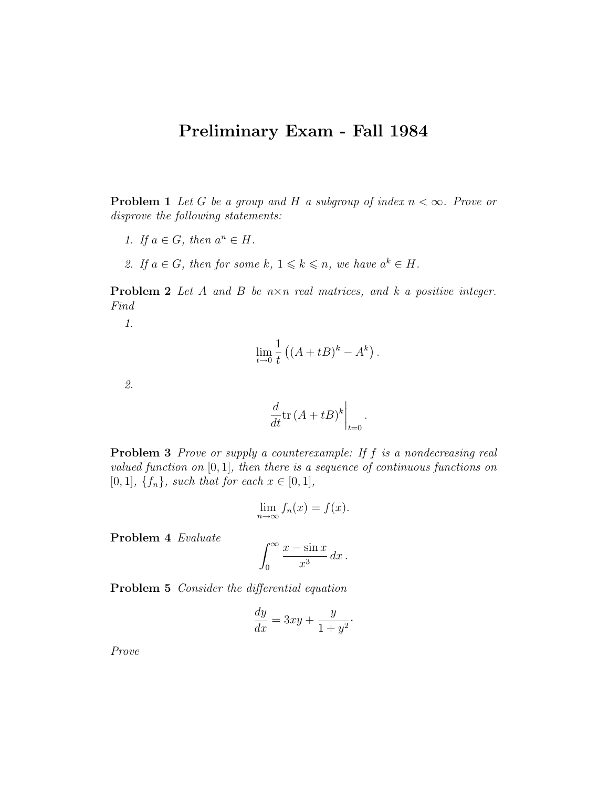## Preliminary Exam - Fall 1984

**Problem 1** Let G be a group and H a subgroup of index  $n < \infty$ . Prove or disprove the following statements:

- 1. If  $a \in G$ , then  $a^n \in H$ .
- 2. If  $a \in G$ , then for some  $k, 1 \leq k \leq n$ , we have  $a^k \in H$ .

**Problem 2** Let A and B be  $n \times n$  real matrices, and k a positive integer. Find

1.

$$
\lim_{t \to 0} \frac{1}{t} \left( (A + tB)^k - A^k \right).
$$

2.

$$
\left. \frac{d}{dt} \text{tr} \left( A + tB \right)^k \right|_{t=0}.
$$

**Problem 3** Prove or supply a counterexample: If f is a nondecreasing real valued function on  $[0, 1]$ , then there is a sequence of continuous functions on [0, 1],  $\{f_n\}$ , such that for each  $x \in [0, 1]$ ,

$$
\lim_{n \to \infty} f_n(x) = f(x).
$$

Problem 4 Evaluate

$$
\int_0^\infty \frac{x - \sin x}{x^3} dx.
$$

Problem 5 Consider the differential equation

$$
\frac{dy}{dx} = 3xy + \frac{y}{1+y^2}.
$$

Prove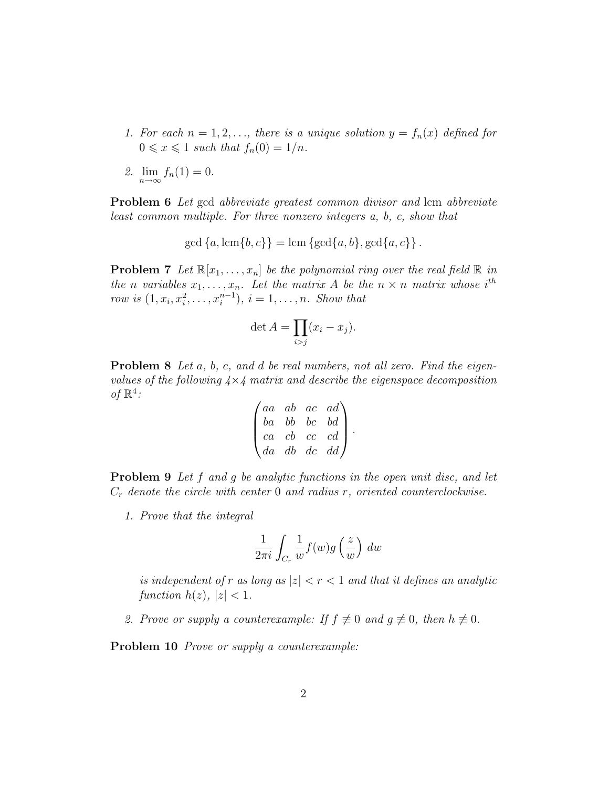- 1. For each  $n = 1, 2, \ldots$ , there is a unique solution  $y = f_n(x)$  defined for  $0 \leqslant x \leqslant 1$  such that  $f_n(0) = 1/n$ .
- 2.  $\lim_{n \to \infty} f_n(1) = 0.$

Problem 6 Let gcd abbreviate greatest common divisor and lcm abbreviate least common multiple. For three nonzero integers a, b, c, show that

 $gcd\{a, lcm\{b, c\}\} = lcm\{gcd\{a, b\}, gcd\{a, c\}\}.$ 

**Problem 7** Let  $\mathbb{R}[x_1, \ldots, x_n]$  be the polynomial ring over the real field  $\mathbb{R}$  in the n variables  $x_1, \ldots, x_n$ . Let the matrix A be the  $n \times n$  matrix whose i<sup>th</sup> row is  $(1, x_i, x_i^2, \ldots, x_i^{n-1}), i = 1, \ldots, n$ . Show that

$$
\det A = \prod_{i > j} (x_i - x_j).
$$

**Problem 8** Let a, b, c, and d be real numbers, not all zero. Find the eigenvalues of the following  $4\times4$  matrix and describe the eigenspace decomposition of  $\mathbb{R}^4$ :

$$
\begin{pmatrix} aa & ab & ac & ad \\ ba & bb & bc & bd \\ ca & cb & cc & cd \\ da & db & dc & dd \end{pmatrix}.
$$

**Problem 9** Let f and q be analytic functions in the open unit disc, and let  $C_r$  denote the circle with center 0 and radius r, oriented counterclockwise.

1. Prove that the integral

$$
\frac{1}{2\pi i} \int_{C_r} \frac{1}{w} f(w) g\left(\frac{z}{w}\right) dw
$$

is independent of r as long as  $|z| < r < 1$  and that it defines an analytic function  $h(z)$ ,  $|z| < 1$ .

2. Prove or supply a counterexample: If  $f \not\equiv 0$  and  $g \not\equiv 0$ , then  $h \not\equiv 0$ .

Problem 10 *Prove or supply a counterexample:*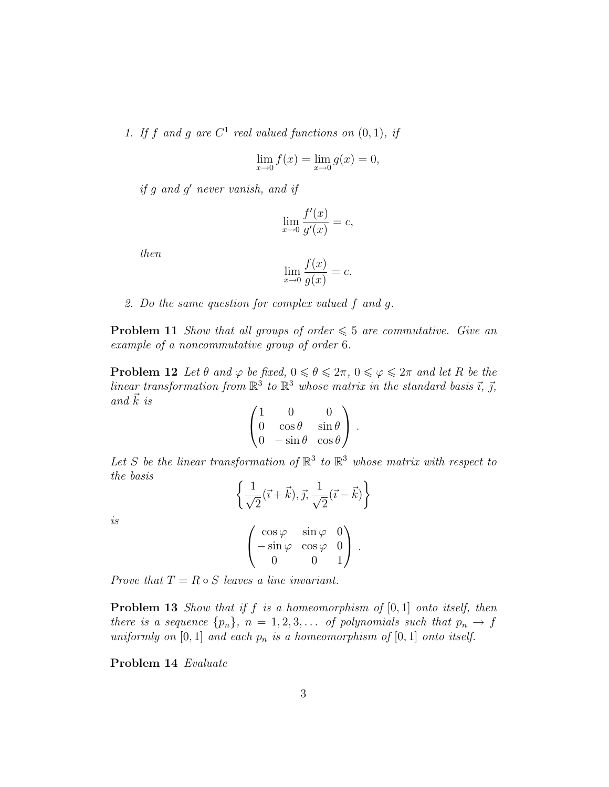1. If f and g are  $C^1$  real valued functions on  $(0, 1)$ , if

$$
\lim_{x \to 0} f(x) = \lim_{x \to 0} g(x) = 0,
$$

if g and g' never vanish, and if

$$
\lim_{x \to 0} \frac{f'(x)}{g'(x)} = c,
$$

then

$$
\lim_{x \to 0} \frac{f(x)}{g(x)} = c.
$$

2. Do the same question for complex valued f and g.

**Problem 11** Show that all groups of order  $\leq 5$  are commutative. Give an example of a noncommutative group of order 6.

**Problem 12** Let  $\theta$  and  $\varphi$  be fixed,  $0 \le \theta \le 2\pi$ ,  $0 \le \varphi \le 2\pi$  and let R be the linear transformation from  $\mathbb{R}^3$  to  $\mathbb{R}^3$  whose matrix in the standard basis  $\vec{\imath}$ ,  $\vec{\jmath}$ , and  $\vec{k}$  is

$$
\begin{pmatrix} 1 & 0 & 0 \ 0 & \cos \theta & \sin \theta \\ 0 & -\sin \theta & \cos \theta \end{pmatrix}.
$$

Let S be the linear transformation of  $\mathbb{R}^3$  to  $\mathbb{R}^3$  whose matrix with respect to the basis

$$
\left\{\frac{1}{\sqrt{2}}(\vec{i}+\vec{k}), \vec{j}, \frac{1}{\sqrt{2}}(\vec{i}-\vec{k})\right\}
$$

is

$$
\begin{pmatrix}\n\cos\varphi & \sin\varphi & 0 \\
-\sin\varphi & \cos\varphi & 0 \\
0 & 0 & 1\n\end{pmatrix}.
$$

Prove that  $T = R \circ S$  leaves a line invariant.

**Problem 13** Show that if f is a homeomorphism of  $[0, 1]$  onto itself, then there is a sequence  $\{p_n\}$ ,  $n = 1, 2, 3, \ldots$  of polynomials such that  $p_n \to f$ uniformly on [0, 1] and each  $p_n$  is a homeomorphism of [0, 1] onto itself.

Problem 14 Evaluate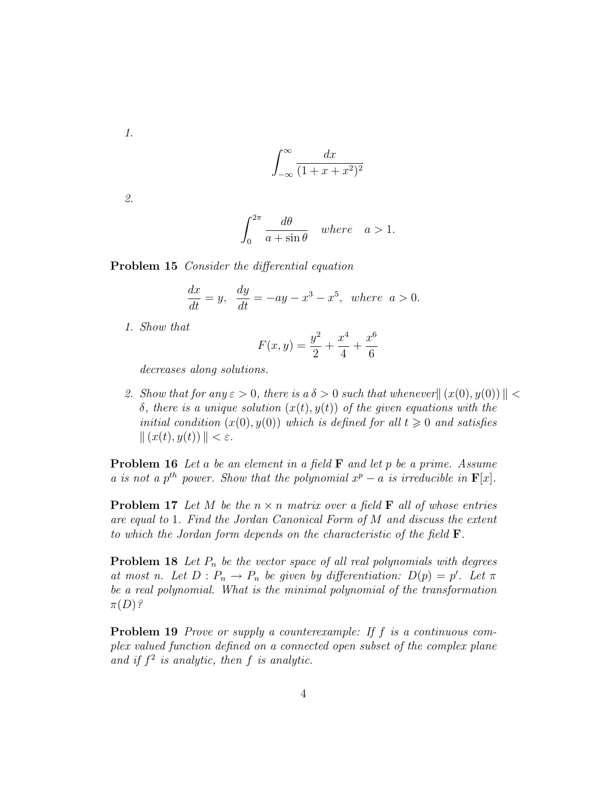1.

$$
\int_{-\infty}^{\infty} \frac{dx}{(1+x+x^2)^2}
$$

2.

$$
\int_0^{2\pi} \frac{d\theta}{a + \sin \theta} \quad where \quad a > 1.
$$

Problem 15 Consider the differential equation

$$
\frac{dx}{dt} = y, \quad \frac{dy}{dt} = -ay - x^3 - x^5, \quad where \quad a > 0.
$$

1. Show that

$$
F(x,y) = \frac{y^2}{2} + \frac{x^4}{4} + \frac{x^6}{6}
$$

decreases along solutions.

2. Show that for any  $\varepsilon > 0$ , there is  $a \delta > 0$  such that whenever  $|| (x(0), y(0)) || <$ δ, there is a unique solution  $(x(t), y(t))$  of the given equations with the initial condition  $(x(0), y(0))$  which is defined for all  $t \geq 0$  and satisfies  $|| (x(t), y(t)) || < \varepsilon.$ 

**Problem 16** Let a be an element in a field  $\bf{F}$  and let p be a prime. Assume a is not a p<sup>th</sup> power. Show that the polynomial  $x^p - a$  is irreducible in  $F[x]$ .

**Problem 17** Let M be the  $n \times n$  matrix over a field **F** all of whose entries are equal to 1. Find the Jordan Canonical Form of M and discuss the extent to which the Jordan form depends on the characteristic of the field F.

**Problem 18** Let  $P_n$  be the vector space of all real polynomials with degrees at most n. Let  $D: P_n \to P_n$  be given by differentiation:  $D(p) = p'$ . Let  $\pi$ be a real polynomial. What is the minimal polynomial of the transformation  $\pi(D)$ ?

**Problem 19** Prove or supply a counterexample: If f is a continuous complex valued function defined on a connected open subset of the complex plane and if  $f^2$  is analytic, then f is analytic.